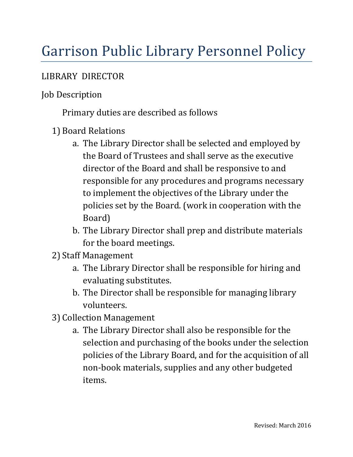# Garrison Public Library Personnel Policy

#### LIBRARY DIRECTOR

### Job Description

Primary duties are described as follows

- 1) Board Relations
	- a. The Library Director shall be selected and employed by the Board of Trustees and shall serve as the executive director of the Board and shall be responsive to and responsible for any procedures and programs necessary to implement the objectives of the Library under the policies set by the Board. (work in cooperation with the Board)
	- b. The Library Director shall prep and distribute materials for the board meetings.
- 2) Staff Management
	- a. The Library Director shall be responsible for hiring and evaluating substitutes.
	- b. The Director shall be responsible for managing library volunteers.
- 3) Collection Management
	- a. The Library Director shall also be responsible for the selection and purchasing of the books under the selection policies of the Library Board, and for the acquisition of all non-book materials, supplies and any other budgeted items.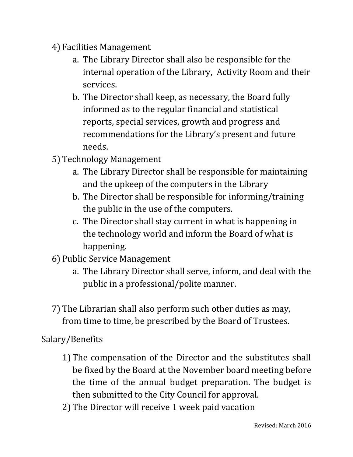- 4) Facilities Management
	- a. The Library Director shall also be responsible for the internal operation of the Library, Activity Room and their services.
	- b. The Director shall keep, as necessary, the Board fully informed as to the regular financial and statistical reports, special services, growth and progress and recommendations for the Library's present and future needs.
- 5) Technology Management
	- a. The Library Director shall be responsible for maintaining and the upkeep of the computers in the Library
	- b. The Director shall be responsible for informing/training the public in the use of the computers.
	- c. The Director shall stay current in what is happening in the technology world and inform the Board of what is happening.
- 6) Public Service Management
	- a. The Library Director shall serve, inform, and deal with the public in a professional/polite manner.
- 7) The Librarian shall also perform such other duties as may, from time to time, be prescribed by the Board of Trustees.

Salary/Benefits

- 1) The compensation of the Director and the substitutes shall be fixed by the Board at the November board meeting before the time of the annual budget preparation. The budget is then submitted to the City Council for approval.
- 2) The Director will receive 1 week paid vacation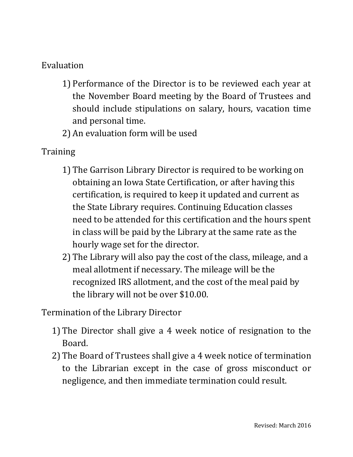### Evaluation

- 1) Performance of the Director is to be reviewed each year at the November Board meeting by the Board of Trustees and should include stipulations on salary, hours, vacation time and personal time.
- 2) An evaluation form will be used

## **Training**

- 1) The Garrison Library Director is required to be working on obtaining an Iowa State Certification, or after having this certification, is required to keep it updated and current as the State Library requires. Continuing Education classes need to be attended for this certification and the hours spent in class will be paid by the Library at the same rate as the hourly wage set for the director.
- 2) The Library will also pay the cost of the class, mileage, and a meal allotment if necessary. The mileage will be the recognized IRS allotment, and the cost of the meal paid by the library will not be over \$10.00.

Termination of the Library Director

- 1) The Director shall give a 4 week notice of resignation to the Board.
- 2) The Board of Trustees shall give a 4 week notice of termination to the Librarian except in the case of gross misconduct or negligence, and then immediate termination could result.